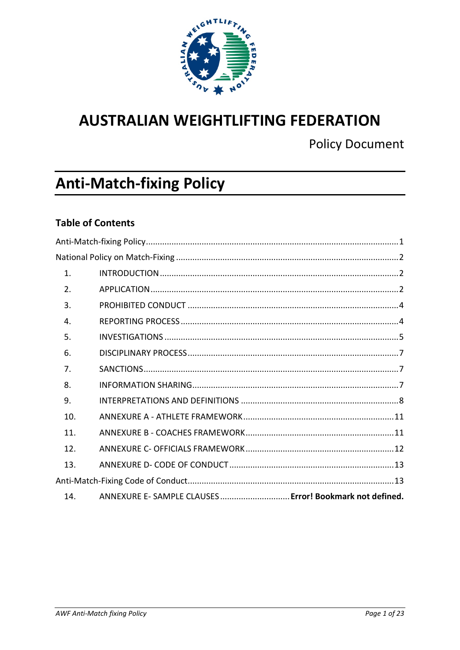

## **AUSTRALIAN WEIGHTLIFTING FEDERATION**

**Policy Document** 

# <span id="page-0-0"></span>**Anti-Match-fixing Policy**

## **Table of Contents**

| $\mathbf{1}$ . |                                                          |  |
|----------------|----------------------------------------------------------|--|
| 2.             |                                                          |  |
| 3.             |                                                          |  |
| 4.             |                                                          |  |
| 5.             |                                                          |  |
| 6.             |                                                          |  |
| 7.             |                                                          |  |
| 8.             |                                                          |  |
| 9.             |                                                          |  |
| 10.            |                                                          |  |
| 11.            |                                                          |  |
| 12.            |                                                          |  |
| 13.            |                                                          |  |
|                |                                                          |  |
| 14.            | ANNEXURE E- SAMPLE CLAUSES  Error! Bookmark not defined. |  |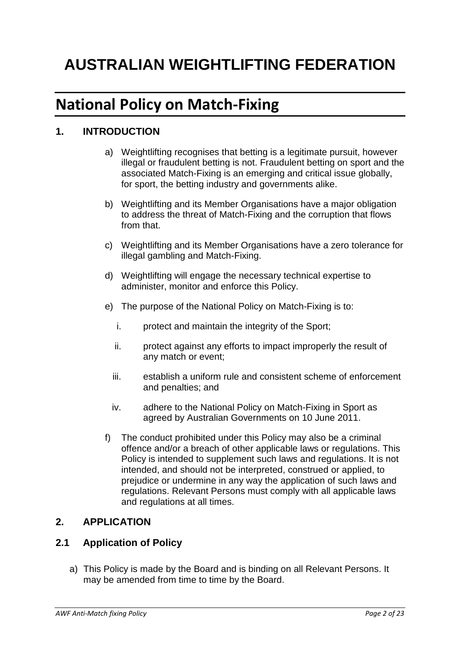# **AUSTRALIAN WEIGHTLIFTING FEDERATION**

## <span id="page-1-0"></span>**National Policy on Match-Fixing**

## <span id="page-1-1"></span>**1. INTRODUCTION**

- a) Weightlifting recognises that betting is a legitimate pursuit, however illegal or fraudulent betting is not. Fraudulent betting on sport and the associated Match-Fixing is an emerging and critical issue globally, for sport, the betting industry and governments alike.
- b) Weightlifting and its Member Organisations have a major obligation to address the threat of Match-Fixing and the corruption that flows from that.
- c) Weightlifting and its Member Organisations have a zero tolerance for illegal gambling and Match-Fixing.
- d) Weightlifting will engage the necessary technical expertise to administer, monitor and enforce this Policy.
- e) The purpose of the National Policy on Match-Fixing is to:
	- i. protect and maintain the integrity of the Sport;
	- ii. protect against any efforts to impact improperly the result of any match or event;
	- iii. establish a uniform rule and consistent scheme of enforcement and penalties; and
	- iv. adhere to the National Policy on Match-Fixing in Sport as agreed by Australian Governments on 10 June 2011.
- f) The conduct prohibited under this Policy may also be a criminal offence and/or a breach of other applicable laws or regulations. This Policy is intended to supplement such laws and regulations. It is not intended, and should not be interpreted, construed or applied, to prejudice or undermine in any way the application of such laws and regulations. Relevant Persons must comply with all applicable laws and regulations at all times.

## <span id="page-1-2"></span>**2. APPLICATION**

#### **2.1 Application of Policy**

a) This Policy is made by the Board and is binding on all Relevant Persons. It may be amended from time to time by the Board.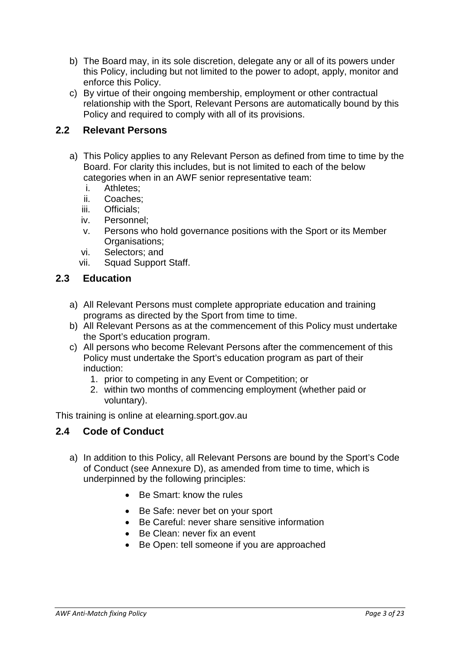- b) The Board may, in its sole discretion, delegate any or all of its powers under this Policy, including but not limited to the power to adopt, apply, monitor and enforce this Policy.
- c) By virtue of their ongoing membership, employment or other contractual relationship with the Sport, Relevant Persons are automatically bound by this Policy and required to comply with all of its provisions.

## **2.2 Relevant Persons**

- a) This Policy applies to any Relevant Person as defined from time to time by the Board. For clarity this includes, but is not limited to each of the below categories when in an AWF senior representative team:
	- i. Athletes;
	- ii. Coaches;
	- iii. Officials;
	- iv. Personnel;
	- v. Persons who hold governance positions with the Sport or its Member Organisations:
	- vi. Selectors; and
	- vii. Squad Support Staff.

#### **2.3 Education**

- a) All Relevant Persons must complete appropriate education and training programs as directed by the Sport from time to time.
- b) All Relevant Persons as at the commencement of this Policy must undertake the Sport's education program.
- c) All persons who become Relevant Persons after the commencement of this Policy must undertake the Sport's education program as part of their induction:
	- 1. prior to competing in any Event or Competition; or
	- 2. within two months of commencing employment (whether paid or voluntary).

This training is online at elearning.sport.gov.au

## **2.4 Code of Conduct**

- a) In addition to this Policy, all Relevant Persons are bound by the Sport's Code of Conduct (see Annexure D), as amended from time to time, which is underpinned by the following principles:
	- Be Smart: know the rules
	- Be Safe: never bet on your sport
	- Be Careful: never share sensitive information
	- Be Clean: never fix an event
	- Be Open: tell someone if you are approached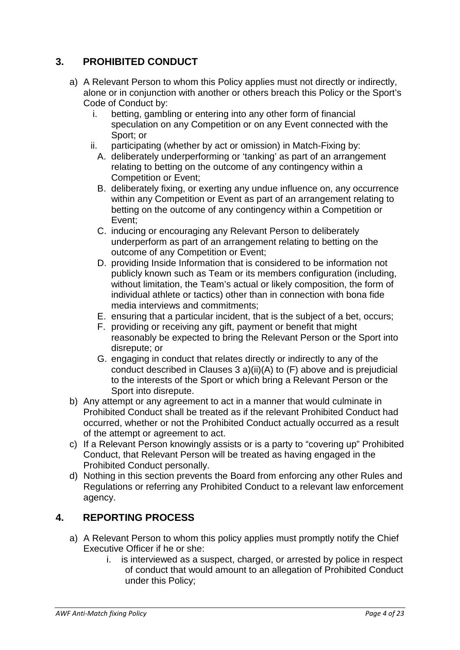## <span id="page-3-0"></span>**3. PROHIBITED CONDUCT**

- a) A Relevant Person to whom this Policy applies must not directly or indirectly, alone or in conjunction with another or others breach this Policy or the Sport's Code of Conduct by:
	- i. betting, gambling or entering into any other form of financial speculation on any Competition or on any Event connected with the Sport; or
	- ii. participating (whether by act or omission) in Match-Fixing by:
		- A. deliberately underperforming or 'tanking' as part of an arrangement relating to betting on the outcome of any contingency within a Competition or Event;
		- B. deliberately fixing, or exerting any undue influence on, any occurrence within any Competition or Event as part of an arrangement relating to betting on the outcome of any contingency within a Competition or Event;
		- C. inducing or encouraging any Relevant Person to deliberately underperform as part of an arrangement relating to betting on the outcome of any Competition or Event;
		- D. providing Inside Information that is considered to be information not publicly known such as Team or its members configuration (including, without limitation, the Team's actual or likely composition, the form of individual athlete or tactics) other than in connection with bona fide media interviews and commitments;
		- E. ensuring that a particular incident, that is the subject of a bet, occurs;
		- F. providing or receiving any gift, payment or benefit that might reasonably be expected to bring the Relevant Person or the Sport into disrepute; or
		- G. engaging in conduct that relates directly or indirectly to any of the conduct described in Clauses 3 a)(ii)(A) to (F) above and is prejudicial to the interests of the Sport or which bring a Relevant Person or the Sport into disrepute.
- b) Any attempt or any agreement to act in a manner that would culminate in Prohibited Conduct shall be treated as if the relevant Prohibited Conduct had occurred, whether or not the Prohibited Conduct actually occurred as a result of the attempt or agreement to act.
- c) If a Relevant Person knowingly assists or is a party to "covering up" Prohibited Conduct, that Relevant Person will be treated as having engaged in the Prohibited Conduct personally.
- d) Nothing in this section prevents the Board from enforcing any other Rules and Regulations or referring any Prohibited Conduct to a relevant law enforcement agency.

## <span id="page-3-1"></span>**4. REPORTING PROCESS**

- a) A Relevant Person to whom this policy applies must promptly notify the Chief Executive Officer if he or she:
	- i. is interviewed as a suspect, charged, or arrested by police in respect of conduct that would amount to an allegation of Prohibited Conduct under this Policy;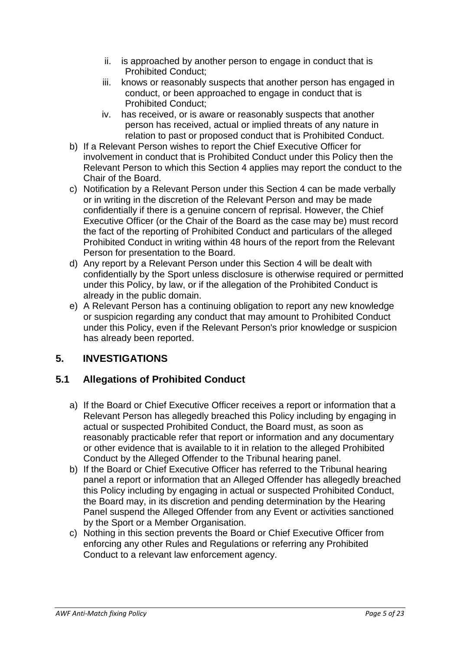- ii. is approached by another person to engage in conduct that is Prohibited Conduct;
- iii. knows or reasonably suspects that another person has engaged in conduct, or been approached to engage in conduct that is Prohibited Conduct;
- iv. has received, or is aware or reasonably suspects that another person has received, actual or implied threats of any nature in relation to past or proposed conduct that is Prohibited Conduct.
- b) If a Relevant Person wishes to report the Chief Executive Officer for involvement in conduct that is Prohibited Conduct under this Policy then the Relevant Person to which this Section 4 applies may report the conduct to the Chair of the Board.
- c) Notification by a Relevant Person under this Section 4 can be made verbally or in writing in the discretion of the Relevant Person and may be made confidentially if there is a genuine concern of reprisal. However, the Chief Executive Officer (or the Chair of the Board as the case may be) must record the fact of the reporting of Prohibited Conduct and particulars of the alleged Prohibited Conduct in writing within 48 hours of the report from the Relevant Person for presentation to the Board.
- d) Any report by a Relevant Person under this Section 4 will be dealt with confidentially by the Sport unless disclosure is otherwise required or permitted under this Policy, by law, or if the allegation of the Prohibited Conduct is already in the public domain.
- e) A Relevant Person has a continuing obligation to report any new knowledge or suspicion regarding any conduct that may amount to Prohibited Conduct under this Policy, even if the Relevant Person's prior knowledge or suspicion has already been reported.

## <span id="page-4-0"></span>**5. INVESTIGATIONS**

## **5.1 Allegations of Prohibited Conduct**

- a) If the Board or Chief Executive Officer receives a report or information that a Relevant Person has allegedly breached this Policy including by engaging in actual or suspected Prohibited Conduct, the Board must, as soon as reasonably practicable refer that report or information and any documentary or other evidence that is available to it in relation to the alleged Prohibited Conduct by the Alleged Offender to the Tribunal hearing panel.
- b) If the Board or Chief Executive Officer has referred to the Tribunal hearing panel a report or information that an Alleged Offender has allegedly breached this Policy including by engaging in actual or suspected Prohibited Conduct, the Board may, in its discretion and pending determination by the Hearing Panel suspend the Alleged Offender from any Event or activities sanctioned by the Sport or a Member Organisation.
- c) Nothing in this section prevents the Board or Chief Executive Officer from enforcing any other Rules and Regulations or referring any Prohibited Conduct to a relevant law enforcement agency.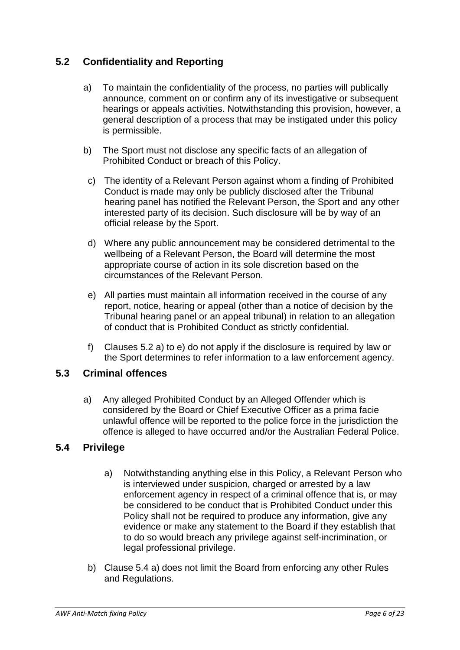## **5.2 Confidentiality and Reporting**

- a) To maintain the confidentiality of the process, no parties will publically announce, comment on or confirm any of its investigative or subsequent hearings or appeals activities. Notwithstanding this provision, however, a general description of a process that may be instigated under this policy is permissible.
- b) The Sport must not disclose any specific facts of an allegation of Prohibited Conduct or breach of this Policy.
	- c) The identity of a Relevant Person against whom a finding of Prohibited Conduct is made may only be publicly disclosed after the Tribunal hearing panel has notified the Relevant Person, the Sport and any other interested party of its decision. Such disclosure will be by way of an official release by the Sport.
	- d) Where any public announcement may be considered detrimental to the wellbeing of a Relevant Person, the Board will determine the most appropriate course of action in its sole discretion based on the circumstances of the Relevant Person.
	- e) All parties must maintain all information received in the course of any report, notice, hearing or appeal (other than a notice of decision by the Tribunal hearing panel or an appeal tribunal) in relation to an allegation of conduct that is Prohibited Conduct as strictly confidential.
	- f) Clauses 5.2 a) to e) do not apply if the disclosure is required by law or the Sport determines to refer information to a law enforcement agency.

## **5.3 Criminal offences**

a) Any alleged Prohibited Conduct by an Alleged Offender which is considered by the Board or Chief Executive Officer as a prima facie unlawful offence will be reported to the police force in the jurisdiction the offence is alleged to have occurred and/or the Australian Federal Police.

#### **5.4 Privilege**

- a) Notwithstanding anything else in this Policy, a Relevant Person who is interviewed under suspicion, charged or arrested by a law enforcement agency in respect of a criminal offence that is, or may be considered to be conduct that is Prohibited Conduct under this Policy shall not be required to produce any information, give any evidence or make any statement to the Board if they establish that to do so would breach any privilege against self-incrimination, or legal professional privilege.
- b) Clause 5.4 a) does not limit the Board from enforcing any other Rules and Regulations.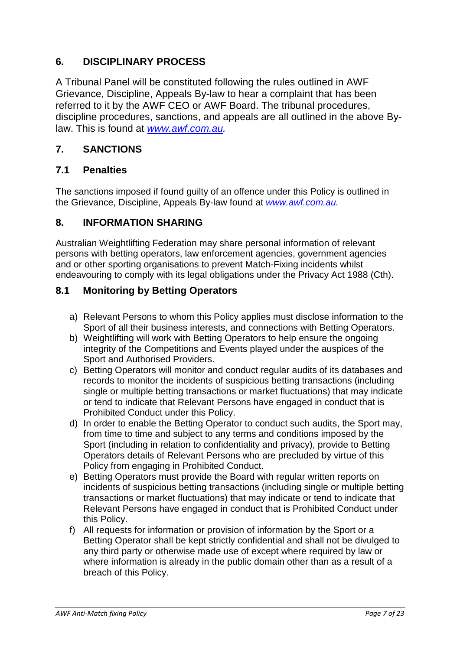## <span id="page-6-0"></span>**6. DISCIPLINARY PROCESS**

A Tribunal Panel will be constituted following the rules outlined in AWF Grievance, Discipline, Appeals By-law to hear a complaint that has been referred to it by the AWF CEO or AWF Board. The tribunal procedures, discipline procedures, sanctions, and appeals are all outlined in the above Bylaw. This is found at *[www.awf.com.au.](http://www.awf.com.au/)* 

## <span id="page-6-1"></span>**7. SANCTIONS**

## **7.1 Penalties**

The sanctions imposed if found guilty of an offence under this Policy is outlined in the Grievance, Discipline, Appeals By-law found at *[www.awf.com.au.](http://www.awf.com.au/)* 

## <span id="page-6-2"></span>**8. INFORMATION SHARING**

Australian Weightlifting Federation may share personal information of relevant persons with betting operators, law enforcement agencies, government agencies and or other sporting organisations to prevent Match-Fixing incidents whilst endeavouring to comply with its legal obligations under the Privacy Act 1988 (Cth).

## **8.1 Monitoring by Betting Operators**

- a) Relevant Persons to whom this Policy applies must disclose information to the Sport of all their business interests, and connections with Betting Operators.
- b) Weightlifting will work with Betting Operators to help ensure the ongoing integrity of the Competitions and Events played under the auspices of the Sport and Authorised Providers.
- c) Betting Operators will monitor and conduct regular audits of its databases and records to monitor the incidents of suspicious betting transactions (including single or multiple betting transactions or market fluctuations) that may indicate or tend to indicate that Relevant Persons have engaged in conduct that is Prohibited Conduct under this Policy.
- d) In order to enable the Betting Operator to conduct such audits, the Sport may, from time to time and subject to any terms and conditions imposed by the Sport (including in relation to confidentiality and privacy), provide to Betting Operators details of Relevant Persons who are precluded by virtue of this Policy from engaging in Prohibited Conduct.
- e) Betting Operators must provide the Board with regular written reports on incidents of suspicious betting transactions (including single or multiple betting transactions or market fluctuations) that may indicate or tend to indicate that Relevant Persons have engaged in conduct that is Prohibited Conduct under this Policy.
- f) All requests for information or provision of information by the Sport or a Betting Operator shall be kept strictly confidential and shall not be divulged to any third party or otherwise made use of except where required by law or where information is already in the public domain other than as a result of a breach of this Policy.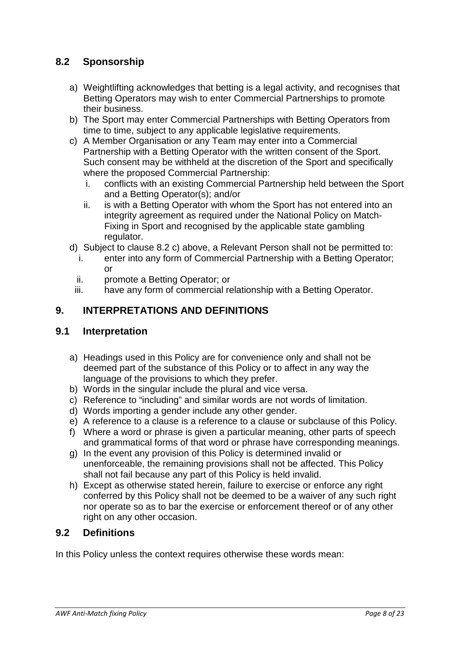## **8.2 Sponsorship**

- a) Weightlifting acknowledges that betting is a legal activity, and recognises that Betting Operators may wish to enter Commercial Partnerships to promote their business.
- b) The Sport may enter Commercial Partnerships with Betting Operators from time to time, subject to any applicable legislative requirements.
- c) A Member Organisation or any Team may enter into a Commercial Partnership with a Betting Operator with the written consent of the Sport. Such consent may be withheld at the discretion of the Sport and specifically where the proposed Commercial Partnership:
	- i. conflicts with an existing Commercial Partnership held between the Sport and a Betting Operator(s); and/or
	- ii. is with a Betting Operator with whom the Sport has not entered into an integrity agreement as required under the National Policy on Match-Fixing in Sport and recognised by the applicable state gambling regulator.
- d) Subject to clause 8.2 c) above, a Relevant Person shall not be permitted to:
	- i. enter into any form of Commercial Partnership with a Betting Operator; or
	- ii. promote a Betting Operator; or
	- iii. have any form of commercial relationship with a Betting Operator.

## <span id="page-7-0"></span>**9. INTERPRETATIONS AND DEFINITIONS**

#### **9.1 Interpretation**

- a) Headings used in this Policy are for convenience only and shall not be deemed part of the substance of this Policy or to affect in any way the language of the provisions to which they prefer.
- b) Words in the singular include the plural and vice versa.
- c) Reference to "including" and similar words are not words of limitation.
- d) Words importing a gender include any other gender.
- e) A reference to a clause is a reference to a clause or subclause of this Policy.
- f) Where a word or phrase is given a particular meaning, other parts of speech and grammatical forms of that word or phrase have corresponding meanings.
- g) In the event any provision of this Policy is determined invalid or unenforceable, the remaining provisions shall not be affected. This Policy shall not fail because any part of this Policy is held invalid.
- h) Except as otherwise stated herein, failure to exercise or enforce any right conferred by this Policy shall not be deemed to be a waiver of any such right nor operate so as to bar the exercise or enforcement thereof or of any other right on any other occasion.

## **9.2 Definitions**

In this Policy unless the context requires otherwise these words mean: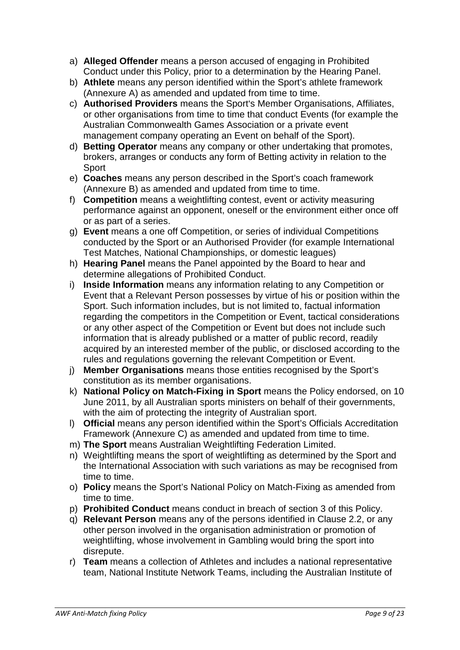- a) **Alleged Offender** means a person accused of engaging in Prohibited Conduct under this Policy, prior to a determination by the Hearing Panel.
- b) **Athlete** means any person identified within the Sport's athlete framework (Annexure A) as amended and updated from time to time.
- c) **Authorised Providers** means the Sport's Member Organisations, Affiliates, or other organisations from time to time that conduct Events (for example the Australian Commonwealth Games Association or a private event management company operating an Event on behalf of the Sport).
- d) **Betting Operator** means any company or other undertaking that promotes, brokers, arranges or conducts any form of Betting activity in relation to the **Sport**
- e) **Coaches** means any person described in the Sport's coach framework (Annexure B) as amended and updated from time to time.
- f) **Competition** means a weightlifting contest, event or activity measuring performance against an opponent, oneself or the environment either once off or as part of a series.
- g) **Event** means a one off Competition, or series of individual Competitions conducted by the Sport or an Authorised Provider (for example International Test Matches, National Championships, or domestic leagues)
- h) **Hearing Panel** means the Panel appointed by the Board to hear and determine allegations of Prohibited Conduct.
- i) **Inside Information** means any information relating to any Competition or Event that a Relevant Person possesses by virtue of his or position within the Sport. Such information includes, but is not limited to, factual information regarding the competitors in the Competition or Event, tactical considerations or any other aspect of the Competition or Event but does not include such information that is already published or a matter of public record, readily acquired by an interested member of the public, or disclosed according to the rules and regulations governing the relevant Competition or Event.
- j) **Member Organisations** means those entities recognised by the Sport's constitution as its member organisations.
- k) **National Policy on Match-Fixing in Sport** means the Policy endorsed, on 10 June 2011, by all Australian sports ministers on behalf of their governments, with the aim of protecting the integrity of Australian sport.
- l) **Official** means any person identified within the Sport's Officials Accreditation Framework (Annexure C) as amended and updated from time to time.
- m) **The Sport** means Australian Weightlifting Federation Limited.
- n) Weightlifting means the sport of weightlifting as determined by the Sport and the International Association with such variations as may be recognised from time to time.
- o) **Policy** means the Sport's National Policy on Match-Fixing as amended from time to time.
- p) **Prohibited Conduct** means conduct in breach of section 3 of this Policy.
- q) **Relevant Person** means any of the persons identified in Clause 2.2, or any other person involved in the organisation administration or promotion of weightlifting, whose involvement in Gambling would bring the sport into disrepute.
- r) **Team** means a collection of Athletes and includes a national representative team, National Institute Network Teams, including the Australian Institute of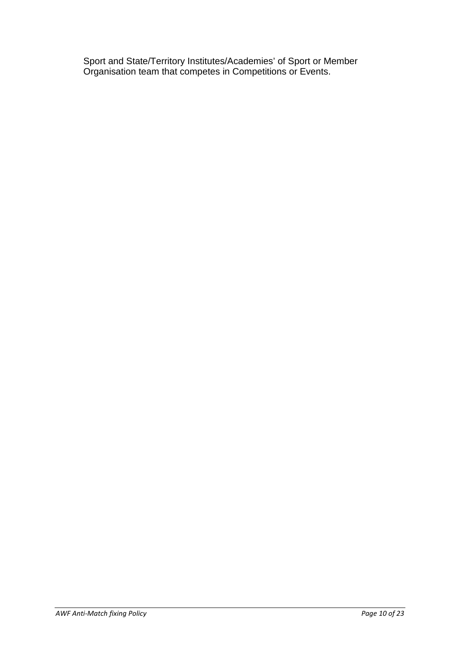Sport and State/Territory Institutes/Academies' of Sport or Member Organisation team that competes in Competitions or Events.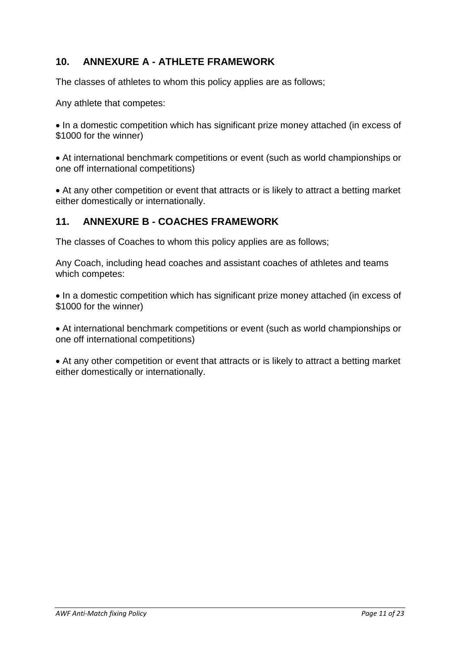## <span id="page-10-0"></span>**10. ANNEXURE A - ATHLETE FRAMEWORK**

The classes of athletes to whom this policy applies are as follows;

Any athlete that competes:

• In a domestic competition which has significant prize money attached (in excess of \$1000 for the winner)

• At international benchmark competitions or event (such as world championships or one off international competitions)

• At any other competition or event that attracts or is likely to attract a betting market either domestically or internationally.

#### <span id="page-10-1"></span>**11. ANNEXURE B - COACHES FRAMEWORK**

The classes of Coaches to whom this policy applies are as follows;

Any Coach, including head coaches and assistant coaches of athletes and teams which competes:

• In a domestic competition which has significant prize money attached (in excess of \$1000 for the winner)

• At international benchmark competitions or event (such as world championships or one off international competitions)

• At any other competition or event that attracts or is likely to attract a betting market either domestically or internationally.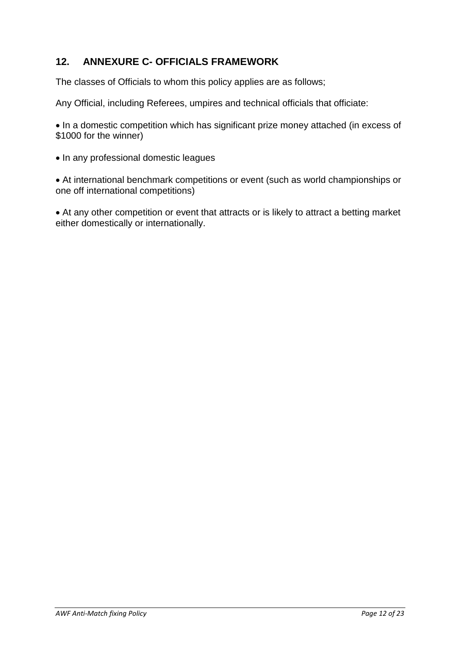## <span id="page-11-0"></span>**12. ANNEXURE C- OFFICIALS FRAMEWORK**

The classes of Officials to whom this policy applies are as follows;

Any Official, including Referees, umpires and technical officials that officiate:

• In a domestic competition which has significant prize money attached (in excess of \$1000 for the winner)

• In any professional domestic leagues

• At international benchmark competitions or event (such as world championships or one off international competitions)

• At any other competition or event that attracts or is likely to attract a betting market either domestically or internationally.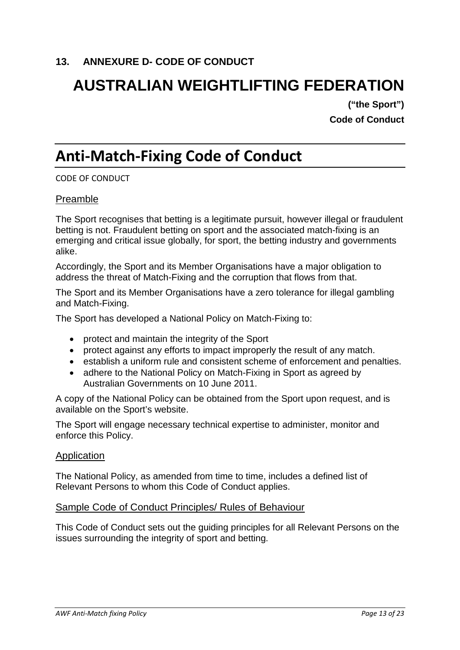## <span id="page-12-0"></span>**AUSTRALIAN WEIGHTLIFTING FEDERATION**

**("the Sport") Code of Conduct**

## <span id="page-12-1"></span>**Anti-Match-Fixing Code of Conduct**

#### CODE OF CONDUCT

#### Preamble

The Sport recognises that betting is a legitimate pursuit, however illegal or fraudulent betting is not. Fraudulent betting on sport and the associated match-fixing is an emerging and critical issue globally, for sport, the betting industry and governments alike.

Accordingly, the Sport and its Member Organisations have a major obligation to address the threat of Match-Fixing and the corruption that flows from that.

The Sport and its Member Organisations have a zero tolerance for illegal gambling and Match-Fixing.

The Sport has developed a National Policy on Match-Fixing to:

- protect and maintain the integrity of the Sport
- protect against any efforts to impact improperly the result of any match.
- establish a uniform rule and consistent scheme of enforcement and penalties.
- adhere to the National Policy on Match-Fixing in Sport as agreed by Australian Governments on 10 June 2011.

A copy of the National Policy can be obtained from the Sport upon request, and is available on the Sport's website.

The Sport will engage necessary technical expertise to administer, monitor and enforce this Policy.

#### Application

The National Policy, as amended from time to time, includes a defined list of Relevant Persons to whom this Code of Conduct applies.

#### Sample Code of Conduct Principles/ Rules of Behaviour

This Code of Conduct sets out the guiding principles for all Relevant Persons on the issues surrounding the integrity of sport and betting.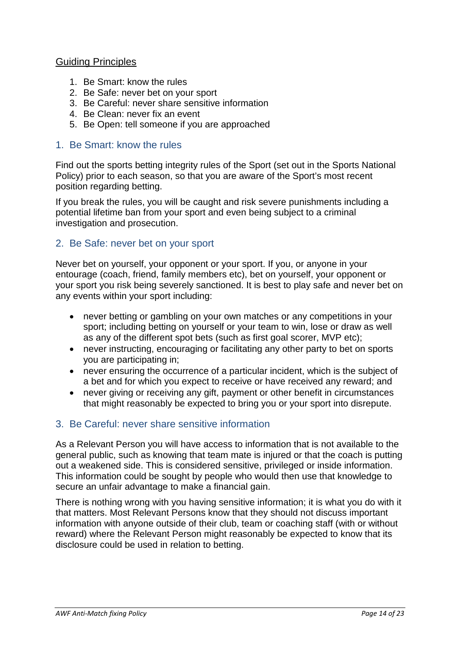#### Guiding Principles

- 1. Be Smart: know the rules
- 2. Be Safe: never bet on your sport
- 3. Be Careful: never share sensitive information
- 4. Be Clean: never fix an event
- 5. Be Open: tell someone if you are approached

#### 1. Be Smart: know the rules

Find out the sports betting integrity rules of the Sport (set out in the Sports National Policy) prior to each season, so that you are aware of the Sport's most recent position regarding betting.

If you break the rules, you will be caught and risk severe punishments including a potential lifetime ban from your sport and even being subject to a criminal investigation and prosecution.

## 2. Be Safe: never bet on your sport

Never bet on yourself, your opponent or your sport. If you, or anyone in your entourage (coach, friend, family members etc), bet on yourself, your opponent or your sport you risk being severely sanctioned. It is best to play safe and never bet on any events within your sport including:

- never betting or gambling on your own matches or any competitions in your sport; including betting on yourself or your team to win, lose or draw as well as any of the different spot bets (such as first goal scorer, MVP etc);
- never instructing, encouraging or facilitating any other party to bet on sports you are participating in;
- never ensuring the occurrence of a particular incident, which is the subject of a bet and for which you expect to receive or have received any reward; and
- never giving or receiving any gift, payment or other benefit in circumstances that might reasonably be expected to bring you or your sport into disrepute.

#### 3. Be Careful: never share sensitive information

As a Relevant Person you will have access to information that is not available to the general public, such as knowing that team mate is injured or that the coach is putting out a weakened side. This is considered sensitive, privileged or inside information. This information could be sought by people who would then use that knowledge to secure an unfair advantage to make a financial gain.

There is nothing wrong with you having sensitive information; it is what you do with it that matters. Most Relevant Persons know that they should not discuss important information with anyone outside of their club, team or coaching staff (with or without reward) where the Relevant Person might reasonably be expected to know that its disclosure could be used in relation to betting.